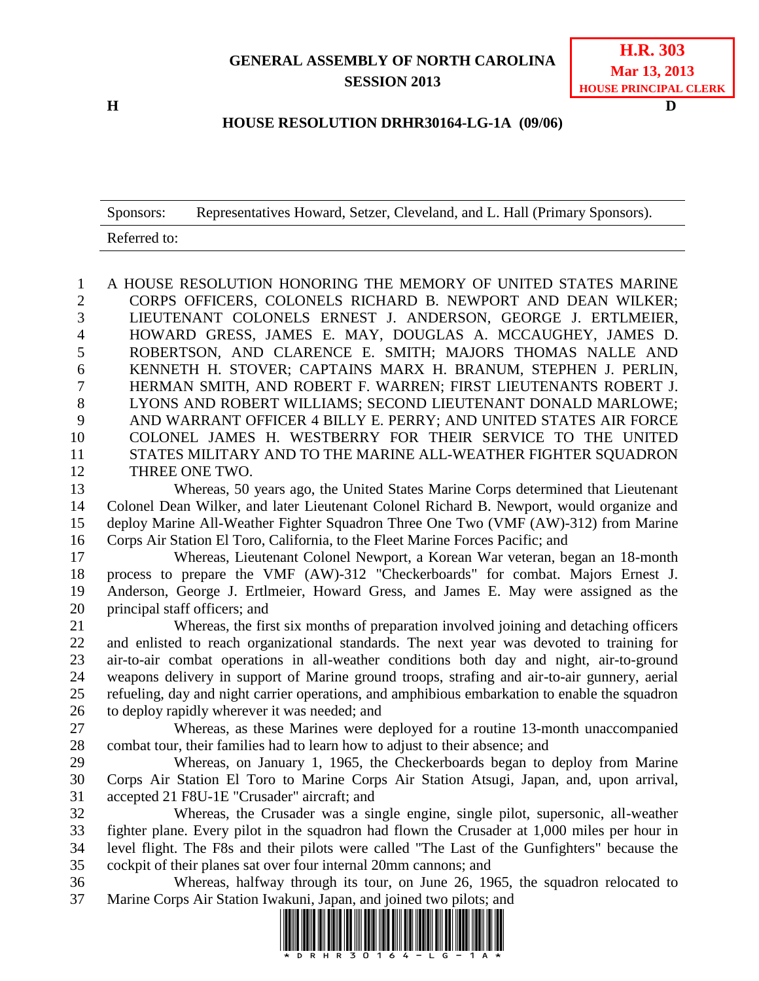## **GENERAL ASSEMBLY OF NORTH CAROLINA SESSION 2013**

**H D**

## **HOUSE RESOLUTION DRHR30164-LG-1A (09/06)**

| Sponsors:    | Representatives Howard, Setzer, Cleveland, and L. Hall (Primary Sponsors). |
|--------------|----------------------------------------------------------------------------|
| Referred to: |                                                                            |

 A HOUSE RESOLUTION HONORING THE MEMORY OF UNITED STATES MARINE CORPS OFFICERS, COLONELS RICHARD B. NEWPORT AND DEAN WILKER; LIEUTENANT COLONELS ERNEST J. ANDERSON, GEORGE J. ERTLMEIER, HOWARD GRESS, JAMES E. MAY, DOUGLAS A. MCCAUGHEY, JAMES D. ROBERTSON, AND CLARENCE E. SMITH; MAJORS THOMAS NALLE AND KENNETH H. STOVER; CAPTAINS MARX H. BRANUM, STEPHEN J. PERLIN, HERMAN SMITH, AND ROBERT F. WARREN; FIRST LIEUTENANTS ROBERT J. LYONS AND ROBERT WILLIAMS; SECOND LIEUTENANT DONALD MARLOWE; AND WARRANT OFFICER 4 BILLY E. PERRY; AND UNITED STATES AIR FORCE COLONEL JAMES H. WESTBERRY FOR THEIR SERVICE TO THE UNITED STATES MILITARY AND TO THE MARINE ALL-WEATHER FIGHTER SQUADRON THREE ONE TWO.

 Whereas, 50 years ago, the United States Marine Corps determined that Lieutenant Colonel Dean Wilker, and later Lieutenant Colonel Richard B. Newport, would organize and deploy Marine All-Weather Fighter Squadron Three One Two (VMF (AW)-312) from Marine Corps Air Station El Toro, California, to the Fleet Marine Forces Pacific; and

 Whereas, Lieutenant Colonel Newport, a Korean War veteran, began an 18-month process to prepare the VMF (AW)-312 "Checkerboards" for combat. Majors Ernest J. Anderson, George J. Ertlmeier, Howard Gress, and James E. May were assigned as the principal staff officers; and

 Whereas, the first six months of preparation involved joining and detaching officers and enlisted to reach organizational standards. The next year was devoted to training for air-to-air combat operations in all-weather conditions both day and night, air-to-ground weapons delivery in support of Marine ground troops, strafing and air-to-air gunnery, aerial refueling, day and night carrier operations, and amphibious embarkation to enable the squadron to deploy rapidly wherever it was needed; and

 Whereas, as these Marines were deployed for a routine 13-month unaccompanied combat tour, their families had to learn how to adjust to their absence; and

 Whereas, on January 1, 1965, the Checkerboards began to deploy from Marine Corps Air Station El Toro to Marine Corps Air Station Atsugi, Japan, and, upon arrival, accepted 21 F8U-1E "Crusader" aircraft; and

 Whereas, the Crusader was a single engine, single pilot, supersonic, all-weather fighter plane. Every pilot in the squadron had flown the Crusader at 1,000 miles per hour in level flight. The F8s and their pilots were called "The Last of the Gunfighters" because the cockpit of their planes sat over four internal 20mm cannons; and

 Whereas, halfway through its tour, on June 26, 1965, the squadron relocated to Marine Corps Air Station Iwakuni, Japan, and joined two pilots; and